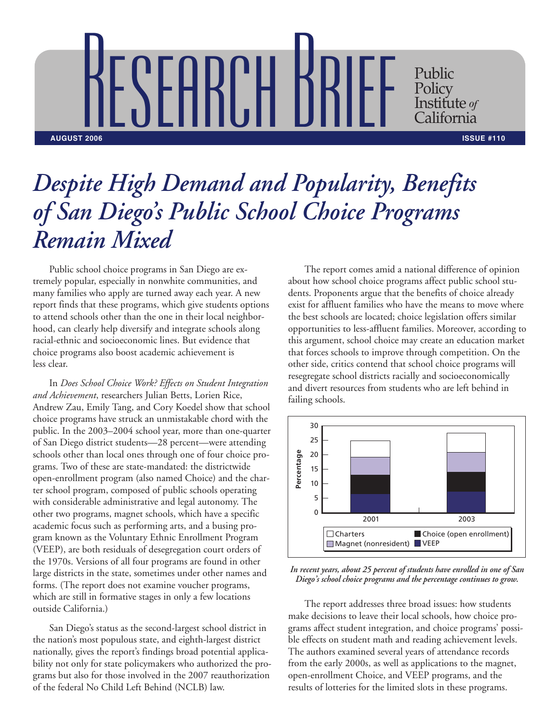RESEARCH BRIEF Public Policy Institute *of* <sup>'</sup>alifornia **AUGUST 2006 ISSUE #110**

## *Despite High Demand and Popularity, Benefits of San Diego's Public School Choice Programs Remain Mixed*

Public school choice programs in San Diego are extremely popular, especially in nonwhite communities, and many families who apply are turned away each year. A new report finds that these programs, which give students options to attend schools other than the one in their local neighborhood, can clearly help diversify and integrate schools along racial-ethnic and socioeconomic lines. But evidence that choice programs also boost academic achievement is less clear.

In *Does School Choice Work? Effects on Student Integration and Achievement*, researchers Julian Betts, Lorien Rice, Andrew Zau, Emily Tang, and Cory Koedel show that school choice programs have struck an unmistakable chord with the public. In the 2003–2004 school year, more than one-quarter of San Diego district students—28 percent—were attending schools other than local ones through one of four choice programs. Two of these are state-mandated: the districtwide open-enrollment program (also named Choice) and the charter school program, composed of public schools operating with considerable administrative and legal autonomy. The other two programs, magnet schools, which have a specific academic focus such as performing arts, and a busing program known as the Voluntary Ethnic Enrollment Program (VEEP), are both residuals of desegregation court orders of the 1970s. Versions of all four programs are found in other large districts in the state, sometimes under other names and forms. (The report does not examine voucher programs, which are still in formative stages in only a few locations outside California.)

San Diego's status as the second-largest school district in the nation's most populous state, and eighth-largest district nationally, gives the report's findings broad potential applicability not only for state policymakers who authorized the programs but also for those involved in the 2007 reauthorization of the federal No Child Left Behind (NCLB) law.

The report comes amid a national difference of opinion about how school choice programs affect public school students. Proponents argue that the benefits of choice already exist for affluent families who have the means to move where the best schools are located; choice legislation offers similar opportunities to less-affluent families. Moreover, according to this argument, school choice may create an education market that forces schools to improve through competition. On the other side, critics contend that school choice programs will resegregate school districts racially and socioeconomically and divert resources from students who are left behind in failing schools.



*In recent years, about 25 percent of students have enrolled in one of San Diego's school choice programs and the percentage continues to grow.*

The report addresses three broad issues: how students make decisions to leave their local schools, how choice programs affect student integration, and choice programs' possible effects on student math and reading achievement levels. The authors examined several years of attendance records from the early 2000s, as well as applications to the magnet, open-enrollment Choice, and VEEP programs, and the results of lotteries for the limited slots in these programs.